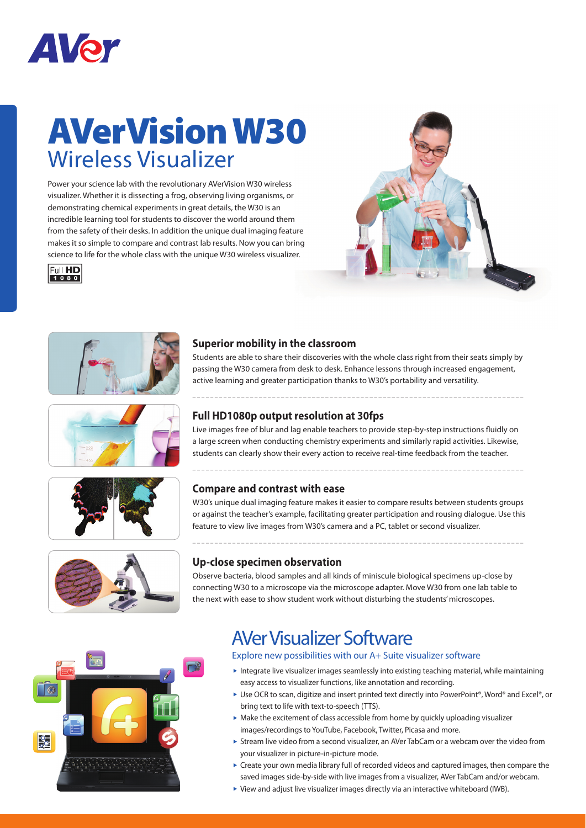

## **AVerVision W30** Wireless Visualizer

Power your science lab with the revolutionary AVerVision W30 wireless visualizer. Whether it is dissecting a frog, observing living organisms, or demonstrating chemical experiments in great details, the W30 is an incredible learning tool for students to discover the world around them from the safety of their desks. In addition the unique dual imaging feature makes it so simple to compare and contrast lab results. Now you can bring science to life for the whole class with the unique W30 wireless visualizer.













### **Superior mobility in the classroom**

Students are able to share their discoveries with the whole class right from their seats simply by passing the W30 camera from desk to desk. Enhance lessons through increased engagement, active learning and greater participation thanks to W30's portability and versatility.

#### **Full HD1080p output resolution at 30fps**

Live images free of blur and lag enable teachers to provide step-by-step instructions fluidly on a large screen when conducting chemistry experiments and similarly rapid activities. Likewise, students can clearly show their every action to receive real-time feedback from the teacher.

### **Compare and contrast with ease**

W30's unique dual imaging feature makes it easier to compare results between students groups or against the teacher's example, facilitating greater participation and rousing dialogue. Use this feature to view live images from W30's camera and a PC, tablet or second visualizer.



### **Up-close specimen observation**

Observe bacteria, blood samples and all kinds of miniscule biological specimens up-close by connecting W30 to a microscope via the microscope adapter. Move W30 from one lab table to the next with ease to show student work without disturbing the students' microscopes.



### AVer Visualizer Software

Explore new possibilities with our A+ Suite visualizer software

- Integrate live visualizer images seamlessly into existing teaching material, while maintaining easy access to visualizer functions, like annotation and recording.
- ► Use OCR to scan, digitize and insert printed text directly into PowerPoint®, Word® and Excel®, or bring text to life with text-to-speech (TTS).
- $\triangleright$  Make the excitement of class accessible from home by quickly uploading visualizer images/recordings to YouTube, Facebook, Twitter, Picasa and more.
- Stream live video from a second visualizer, an AVer TabCam or a webcam over the video from your visualizer in picture-in-picture mode.
- Create your own media library full of recorded videos and captured images, then compare the saved images side-by-side with live images from a visualizer, AVer TabCam and/or webcam.
- View and adjust live visualizer images directly via an interactive whiteboard (IWB).